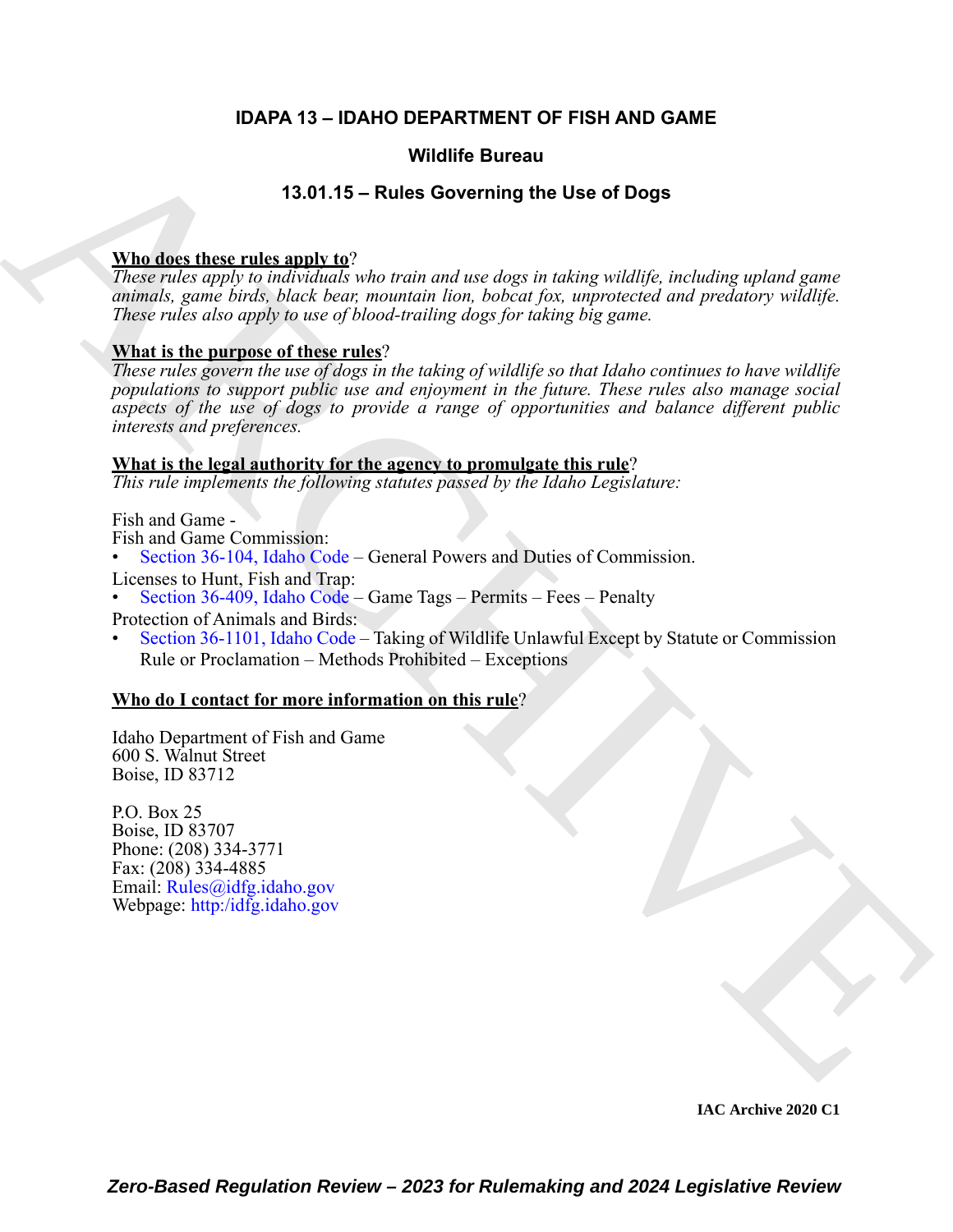#### **IDAPA 13 – IDAHO DEPARTMENT OF FISH AND GAME**

#### **Wildlife Bureau**

#### **13.01.15 – Rules Governing the Use of Dogs**

#### **Who does these rules apply to**?

*These rules apply to individuals who train and use dogs in taking wildlife, including upland game animals, game birds, black bear, mountain lion, bobcat fox, unprotected and predatory wildlife. These rules also apply to use of blood-trailing dogs for taking big game.* 

#### **What is the purpose of these rules**?

**Wright Surface [C](https://legislature.idaho.gov/statutesrules/idstat/Title36/T36CH4/SECT36-409/)ontrast Control Control Control Control Control Control Control Control Control Control Control Control Control Control Control Control Control Control Control Control Control Control Control Control Cont** *These rules govern the use of dogs in the taking of wildlife so that Idaho continues to have wildlife populations to support public use and enjoyment in the future. These rules also manage social aspects of the use of dogs to provide a range of opportunities and balance different public interests and preferences.*

#### **What is the legal authority for the agency to promulgate this rule**?

*This rule implements the following statutes passed by the Idaho Legislature:*

Fish and Game -

- Fish and Game Commission:
- Section 36-104, Idaho Code General Powers and Duties of Commission.

Licenses to Hunt, Fish and Trap:

- Section 36-409, Idaho Code Game Tags Permits Fees Penalty
- Protection of Animals and Birds:
- Section 36-1101, Idaho Code Taking of Wildlife Unlawful Except by Statute or Commission Rule or Proclamation – Methods Prohibited – Exceptions

#### **Who do I contact for more information on this rule**?

Idaho Department of Fish and Game 600 S. Walnut Street Boise, ID 83712

P.O. Box 25 Boise, ID 83707 Phone: (208) 334-3771 Fax: (208) 334-4885 Email: Rules@idfg.idaho.gov Webpage: http:/idfg.idaho.gov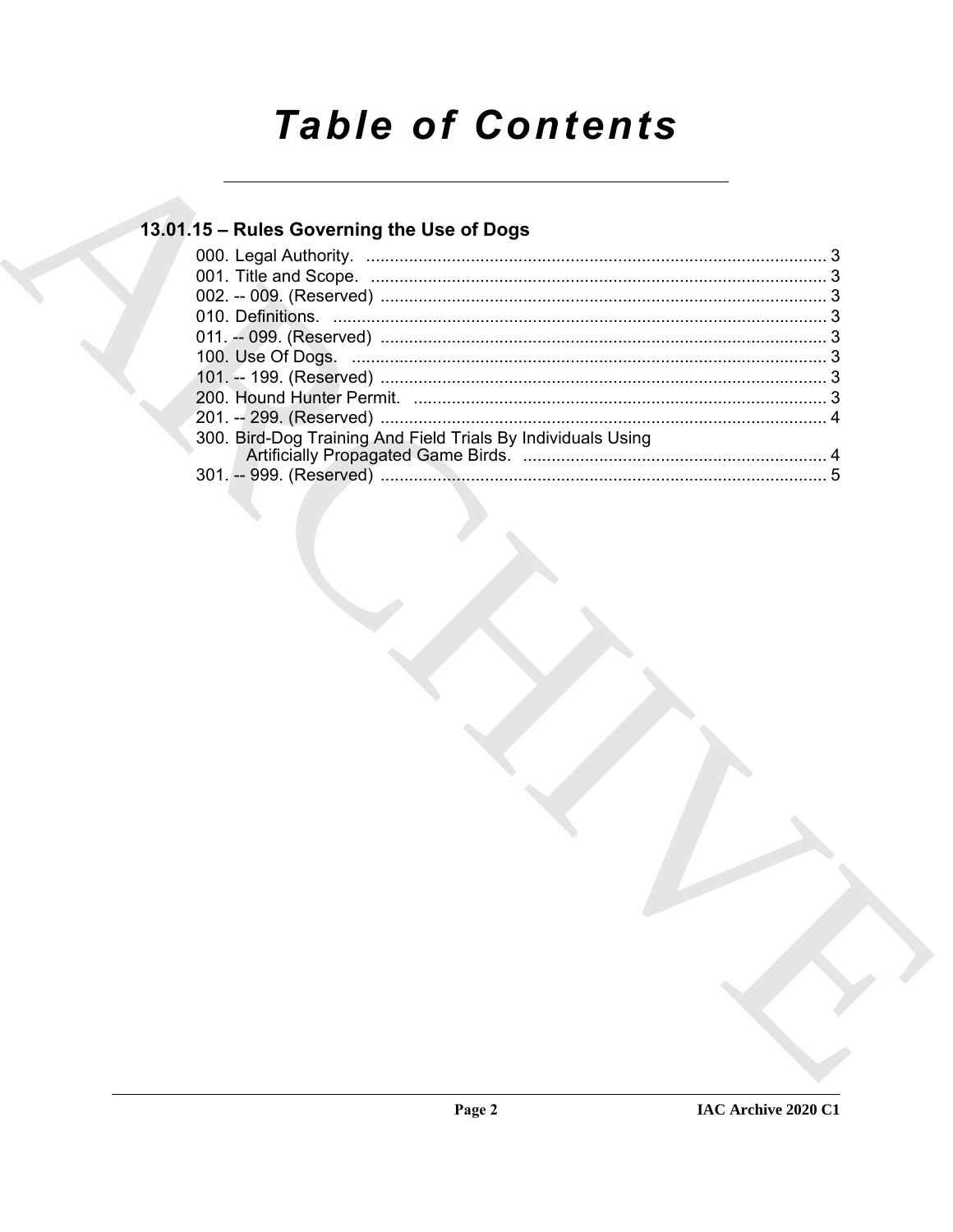# **Table of Contents**

### 13.01.15 - Rules Governing the Use of Dogs

| 300. Bird-Dog Training And Field Trials By Individuals Using |  |
|--------------------------------------------------------------|--|
|                                                              |  |
|                                                              |  |
|                                                              |  |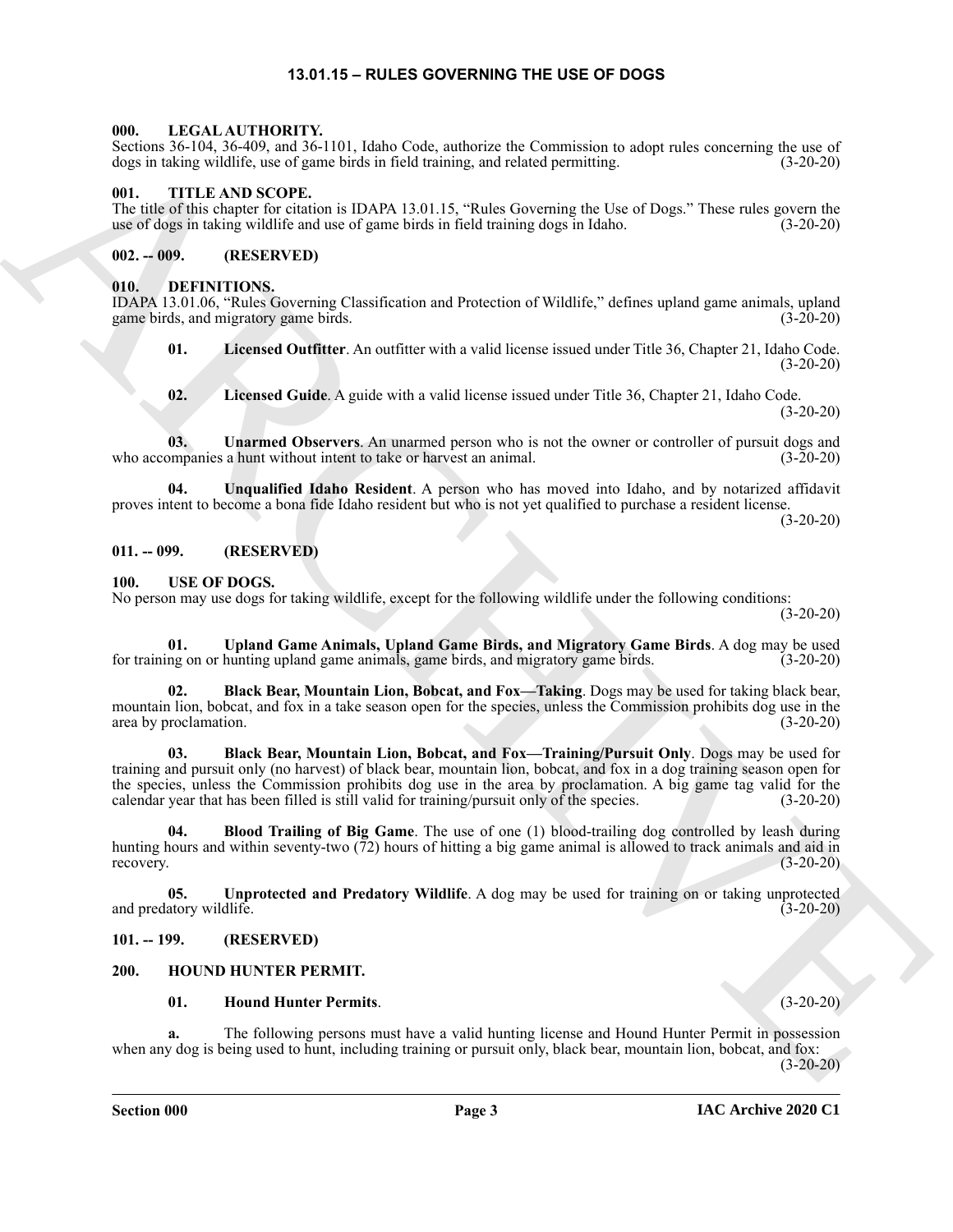#### **13.01.15 – RULES GOVERNING THE USE OF DOGS**

#### <span id="page-2-16"></span><span id="page-2-1"></span><span id="page-2-0"></span>**000. LEGAL AUTHORITY.**

Sections 36-104, 36-409, and 36-1101, Idaho Code, authorize the Commission to adopt rules concerning the use of dogs in taking wildlife, use of game birds in field training, and related permitting. (3-20-20)

#### <span id="page-2-17"></span><span id="page-2-2"></span>**001. TITLE AND SCOPE.**

The title of this chapter for citation is IDAPA 13.01.15, "Rules Governing the Use of Dogs." These rules govern the use of dogs in taking wildlife and use of game birds in field training dogs in Idaho. (3-20-20)

#### <span id="page-2-3"></span>**002. -- 009. (RESERVED)**

#### <span id="page-2-9"></span><span id="page-2-4"></span>**010. DEFINITIONS.**

IDAPA 13.01.06, "Rules Governing Classification and Protection of Wildlife," defines upland game animals, upland game birds, and migratory game birds. (3-20-20)

<span id="page-2-11"></span>**01.** Licensed Outfitter. An outfitter with a valid license issued under Title 36, Chapter 21, Idaho Code. (3-20-20)

<span id="page-2-13"></span><span id="page-2-12"></span><span id="page-2-10"></span>**02. Licensed Guide**. A guide with a valid license issued under Title 36, Chapter 21, Idaho Code. (3-20-20)

**03. Unarmed Observers**. An unarmed person who is not the owner or controller of pursuit dogs and who accompanies a hunt without intent to take or harvest an animal. (3-20-20)

**04. Unqualified Idaho Resident**. A person who has moved into Idaho, and by notarized affidavit proves intent to become a bona fide Idaho resident but who is not yet qualified to purchase a resident license. (3-20-20)

#### <span id="page-2-5"></span>**011. -- 099. (RESERVED)**

#### <span id="page-2-18"></span><span id="page-2-6"></span>**100. USE OF DOGS.**

No person may use dogs for taking wildlife, except for the following wildlife under the following conditions: (3-20-20)

**01. Upland Game Animals, Upland Game Birds, and Migratory Game Birds**. A dog may be used for training on or hunting upland game animals, game birds, and migratory game birds. (3-20-20)

**02. Black Bear, Mountain Lion, Bobcat, and Fox—Taking**. Dogs may be used for taking black bear, mountain lion, bobcat, and fox in a take season open for the species, unless the Commission prohibits dog use in the area by proclamation. (3-20-20)

Some As the ARCHIVE and Section 1980. The contribution of the specific state of the contribution of the specific state of the specific state of the specific state of the specific state of the specific state of the specifi **03. Black Bear, Mountain Lion, Bobcat, and Fox—Training/Pursuit Only**. Dogs may be used for training and pursuit only (no harvest) of black bear, mountain lion, bobcat, and fox in a dog training season open for the species, unless the Commission prohibits dog use in the area by proclamation. A big game tag valid for the calendar year that has been filled is still valid for training/pursuit only of the species. (3-20-20)

**04. Blood Trailing of Big Game**. The use of one (1) blood-trailing dog controlled by leash during hunting hours and within seventy-two (72) hours of hitting a big game animal is allowed to track animals and aid in recovery. (3-20-20)

**05. Unprotected and Predatory Wildlife**. A dog may be used for training on or taking unprotected and predatory wildlife. (3-20-20)

#### <span id="page-2-7"></span>**101. -- 199. (RESERVED)**

#### <span id="page-2-8"></span>**200. HOUND HUNTER PERMIT.**

#### <span id="page-2-15"></span><span id="page-2-14"></span>**01. Hound Hunter Permits**. (3-20-20)

**a.** The following persons must have a valid hunting license and Hound Hunter Permit in possession when any dog is being used to hunt, including training or pursuit only, black bear, mountain lion, bobcat, and fox:  $(3-20-20)$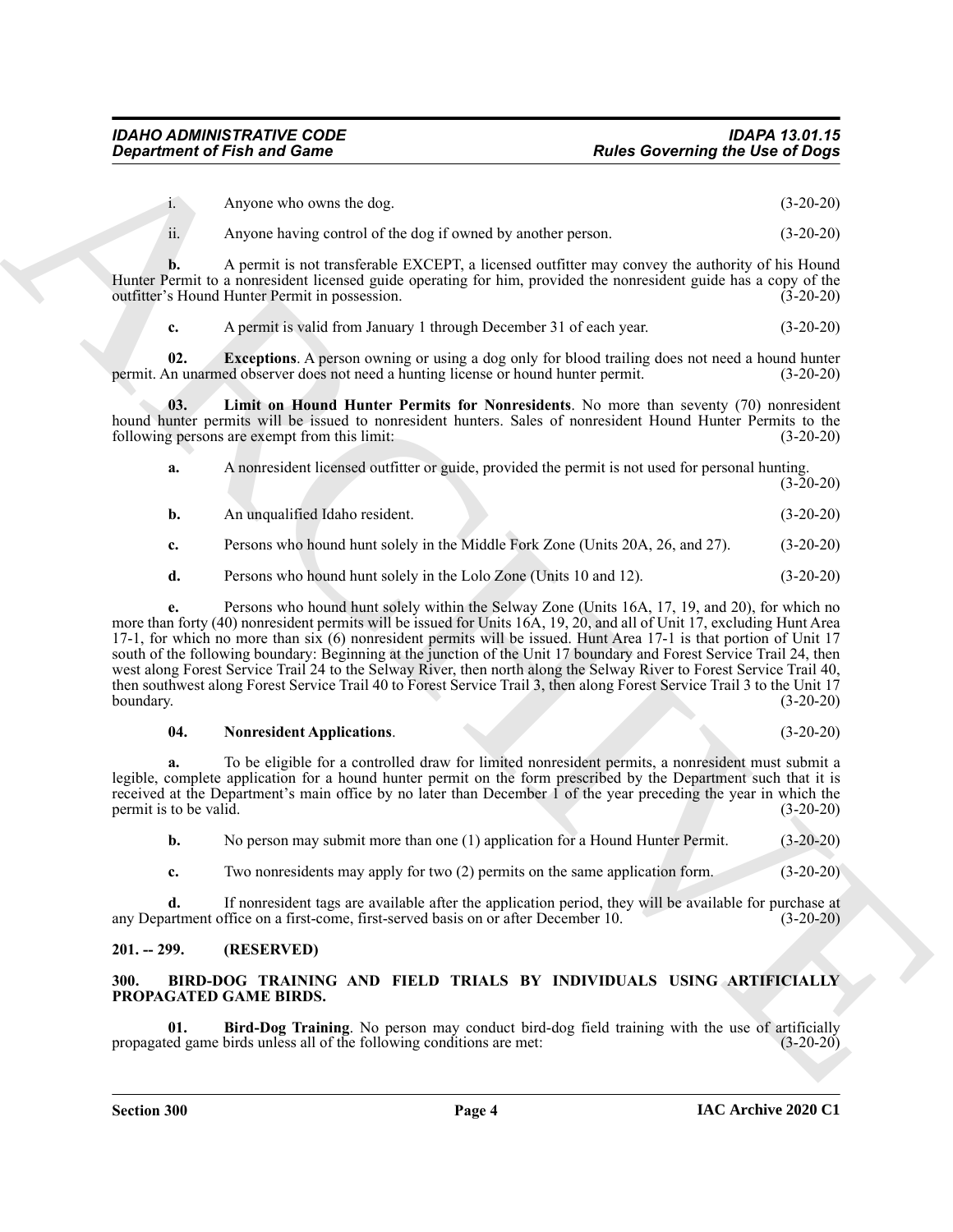i. Anyone who owns the dog. (3-20-20)

ii. Anyone having control of the dog if owned by another person. (3-20-20)

**b.** A permit is not transferable EXCEPT, a licensed outfitter may convey the authority of his Hound Hunter Permit to a nonresident licensed guide operating for him, provided the nonresident guide has a copy of the outfitter's Hound Hunter Permit in possession. (3-20-20)

<span id="page-3-5"></span><span id="page-3-4"></span>**c.** A permit is valid from January 1 through December 31 of each year. (3-20-20)

**02. Exceptions**. A person owning or using a dog only for blood trailing does not need a hound hunter no unarmed observer does not need a hunting license or hound hunter permit. (3-20-20) permit. An unarmed observer does not need a hunting license or hound hunter permit.

**03. Limit on Hound Hunter Permits for Nonresidents**. No more than seventy (70) nonresident hound hunter permits will be issued to nonresident hunters. Sales of nonresident Hound Hunter Permits to the following persons are exempt from this limit: (3-20-20) following persons are exempt from this limit:

| а. | A nonresident licensed outfitter or guide, provided the permit is not used for personal hunting. |             |
|----|--------------------------------------------------------------------------------------------------|-------------|
|    |                                                                                                  | $(3-20-20)$ |
|    | An unqualified Idaho resident.                                                                   | $(3-20-20)$ |

**c.** Persons who hound hunt solely in the Middle Fork Zone (Units 20A, 26, and 27). (3-20-20)

**d.** Persons who hound hunt solely in the Lolo Zone (Units 10 and 12). (3-20-20)

**Experiment of Finit and Game**<br>
A space is usually the state of the state of the state of the state of the state of the state of the state of the state of the state of the state of the state of the state of the state of t **e.** Persons who hound hunt solely within the Selway Zone (Units 16A, 17, 19, and 20), for which no more than forty (40) nonresident permits will be issued for Units 16A, 19, 20, and all of Unit 17, excluding Hunt Area 17-1, for which no more than six (6) nonresident permits will be issued. Hunt Area 17-1 is that portion of Unit 17 south of the following boundary: Beginning at the junction of the Unit 17 boundary and Forest Service Trail 24, then west along Forest Service Trail 24 to the Selway River, then north along the Selway River to Forest Service Trail 40, then southwest along Forest Service Trail 40 to Forest Service Trail 3, then along Forest Service Trail 3 to the Unit 17 boundary. (3-20-20)

#### <span id="page-3-6"></span>**04. Nonresident Applications**. (3-20-20)

**a.** To be eligible for a controlled draw for limited nonresident permits, a nonresident must submit a legible, complete application for a hound hunter permit on the form prescribed by the Department such that it is received at the Department's main office by no later than December 1 of the year preceding the year in which the permit is to be valid. (3-20-20)

**b.** No person may submit more than one (1) application for a Hound Hunter Permit. (3-20-20)

**c.** Two nonresidents may apply for two (2) permits on the same application form. (3-20-20)

**d.** If nonresident tags are available after the application period, they will be available for purchase at any Department office on a first-come, first-served basis on or after December 10. (3-20-20)

#### <span id="page-3-0"></span>**201. -- 299. (RESERVED)**

#### <span id="page-3-2"></span><span id="page-3-1"></span>**300. BIRD-DOG TRAINING AND FIELD TRIALS BY INDIVIDUALS USING ARTIFICIALLY PROPAGATED GAME BIRDS.**

<span id="page-3-3"></span>**01. Bird-Dog Training**. No person may conduct bird-dog field training with the use of artificially ed game birds unless all of the following conditions are met: (3-20-20) propagated game birds unless all of the following conditions are met: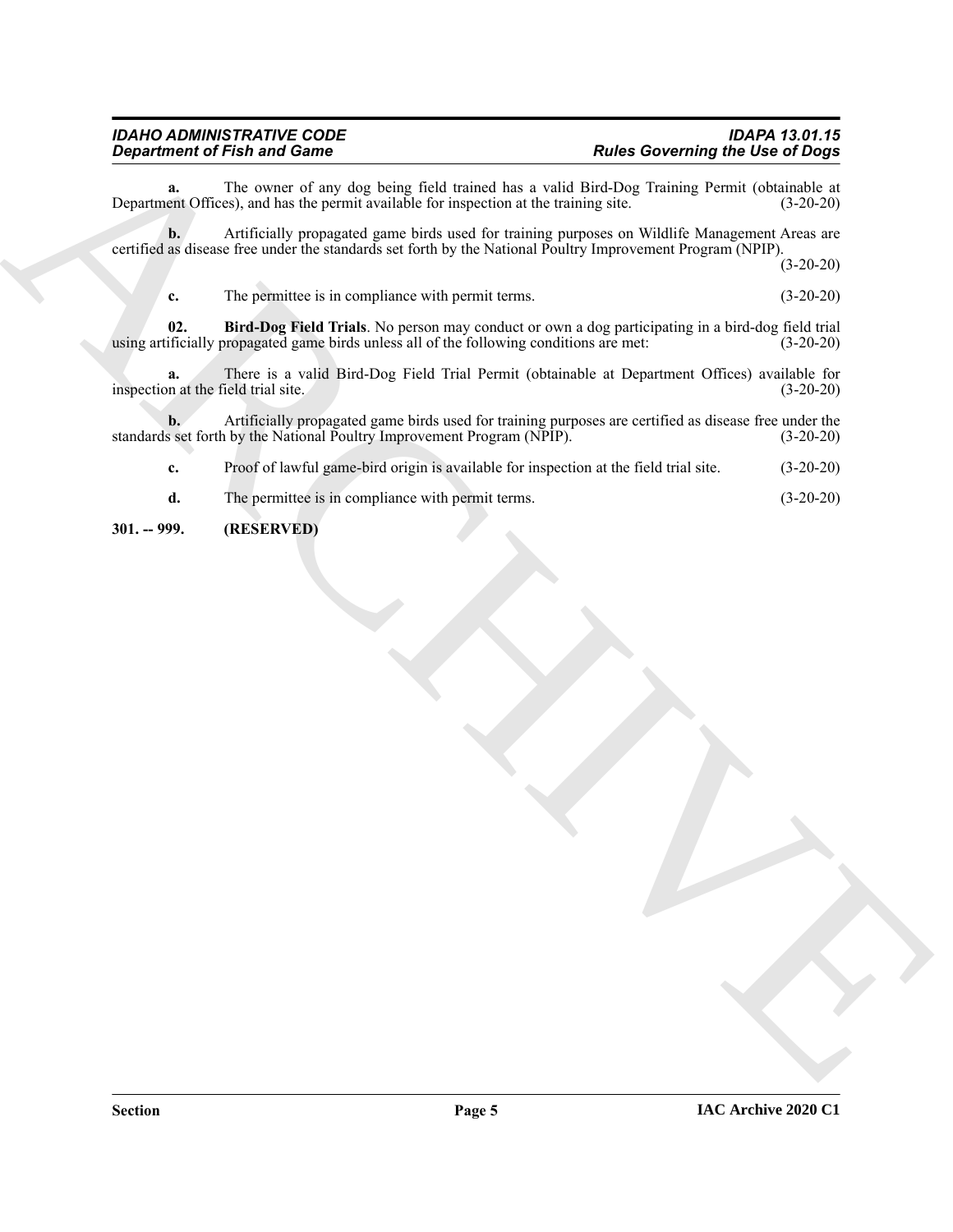## *IDAHO ADMINISTRATIVE CODE IDAPA 13.01.15*

Department of Finite and Case of the United State (Solid United State Concerning the United State of Boys<br>
Department Oddivid, excluding the premain of particular temperature and the variant particular state of the Case o **a.** The owner of any dog being field trained has a valid Bird-Dog Training Permit (obtainable at ent Offices), and has the permit available for inspection at the training site. (3-20-20) Department Offices), and has the permit available for inspection at the training site.

**b.** Artificially propagated game birds used for training purposes on Wildlife Management Areas are certified as disease free under the standards set forth by the National Poultry Improvement Program (NPIP).

(3-20-20)

<span id="page-4-1"></span>**c.** The permittee is in compliance with permit terms. (3-20-20)

**02. Bird-Dog Field Trials**. No person may conduct or own a dog participating in a bird-dog field trial ificially propagated game birds unless all of the following conditions are met:  $(3-20-20)$ using artificially propagated game birds unless all of the following conditions are met:

**a.** There is a valid Bird-Dog Field Trial Permit (obtainable at Department Offices) available for inspection at the field trial site. (3-20-20)

**b.** Artificially propagated game birds used for training purposes are certified as disease free under the set forth by the National Poultry Improvement Program (NPIP). (3-20-20) standards set forth by the National Poultry Improvement Program (NPIP).

**c.** Proof of lawful game-bird origin is available for inspection at the field trial site. (3-20-20)

**d.** The permittee is in compliance with permit terms. (3-20-20)

#### <span id="page-4-0"></span>**301. -- 999. (RESERVED)**